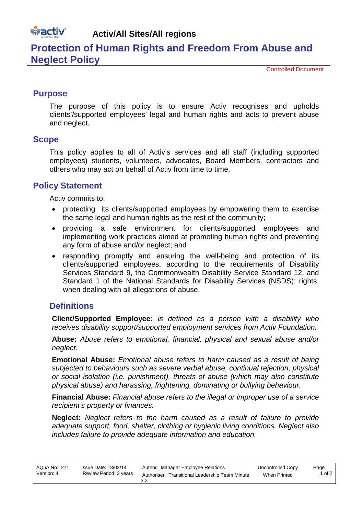# **wactiv**

**Activ/All Sites/All regions**

# **Protection of Human Rights and Freedom From Abuse and Neglect Policy**

Controlled Document

# **Purpose**

The purpose of this policy is to ensure Activ recognises and upholds clients'/supported employees' legal and human rights and acts to prevent abuse and neglect.

#### **Scope**

This policy applies to all of Activ's services and all staff (including supported employees) students, volunteers, advocates, Board Members, contractors and others who may act on behalf of Activ from time to time.

# **Policy Statement**

Activ commits to:

- protecting its clients/supported employees by empowering them to exercise the same legal and human rights as the rest of the community;
- providing a safe environment for clients/supported employees and implementing work practices aimed at promoting human rights and preventing any form of abuse and/or neglect; and
- responding promptly and ensuring the well-being and protection of its clients/supported employees, according to the requirements of Disability Services Standard 9, the Commonwealth Disability Service Standard 12, and Standard 1 of the National Standards for Disability Services (NSDS): rights, when dealing with all allegations of abuse.

# **Definitions**

**Client/Supported Employee:** *is defined as a person with a disability who receives disability support/supported employment services from Activ Foundation.*

**Abuse:** *Abuse refers to emotional, financial, physical and sexual abuse and/or neglect.*

**Emotional Abuse:** *Emotional abuse refers to harm caused as a result of being subjected to behaviours such as severe verbal abuse, continual rejection, physical or social isolation (i.e. punishment), threats of abuse (which may also constitute physical abuse) and harassing, frightening, dominating or bullying behaviour.*

**Financial Abuse:** *Financial abuse refers to the illegal or improper use of a service recipient's property or finances.*

**Neglect:** *Neglect refers to the harm caused as a result of failure to provide adequate support, food, shelter, clothing or hygienic living conditions. Neglect also includes failure to provide adequate information and education.*